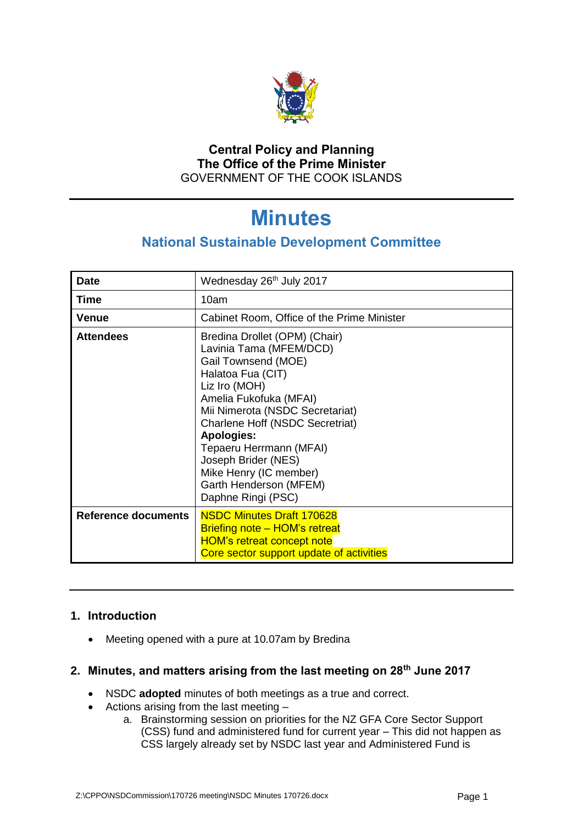

## **Central Policy and Planning The Office of the Prime Minister** GOVERNMENT OF THE COOK ISLANDS

# **Minutes**

## **National Sustainable Development Committee**

| <b>Date</b>                | Wednesday 26 <sup>th</sup> July 2017                                                                                                                                                                                                                                                                                                                                          |
|----------------------------|-------------------------------------------------------------------------------------------------------------------------------------------------------------------------------------------------------------------------------------------------------------------------------------------------------------------------------------------------------------------------------|
| <b>Time</b>                | 10am                                                                                                                                                                                                                                                                                                                                                                          |
| Venue                      | Cabinet Room, Office of the Prime Minister                                                                                                                                                                                                                                                                                                                                    |
| <b>Attendees</b>           | Bredina Drollet (OPM) (Chair)<br>Lavinia Tama (MFEM/DCD)<br>Gail Townsend (MOE)<br>Halatoa Fua (CIT)<br>Liz Iro (MOH)<br>Amelia Fukofuka (MFAI)<br>Mii Nimerota (NSDC Secretariat)<br><b>Charlene Hoff (NSDC Secretriat)</b><br><b>Apologies:</b><br>Tepaeru Herrmann (MFAI)<br>Joseph Brider (NES)<br>Mike Henry (IC member)<br>Garth Henderson (MFEM)<br>Daphne Ringi (PSC) |
| <b>Reference documents</b> | <b>NSDC Minutes Draft 170628</b><br><b>Briefing note - HOM's retreat</b>                                                                                                                                                                                                                                                                                                      |
|                            | <b>HOM's retreat concept note</b><br>Core sector support update of activities                                                                                                                                                                                                                                                                                                 |

## **1. Introduction**

• Meeting opened with a pure at 10.07am by Bredina

## **2. Minutes, and matters arising from the last meeting on 28th June 2017**

- NSDC **adopted** minutes of both meetings as a true and correct.
- Actions arising from the last meeting
	- a. Brainstorming session on priorities for the NZ GFA Core Sector Support (CSS) fund and administered fund for current year – This did not happen as CSS largely already set by NSDC last year and Administered Fund is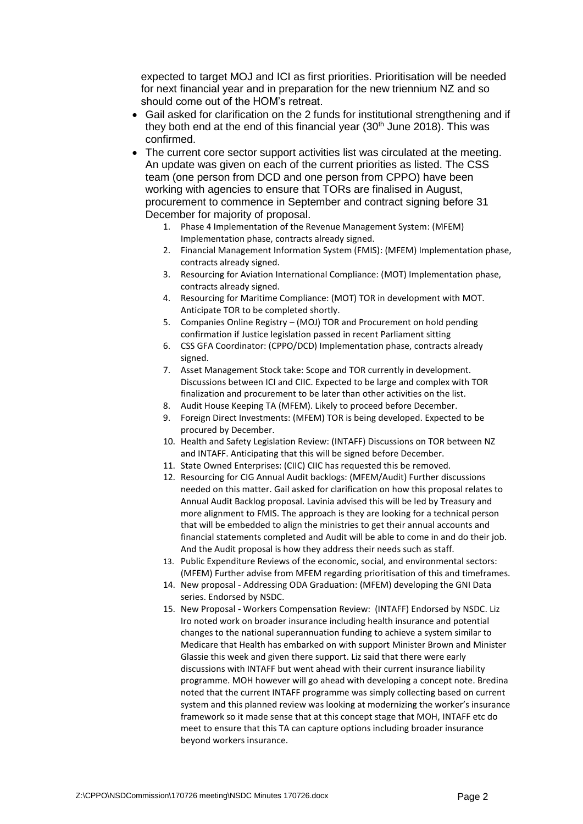expected to target MOJ and ICI as first priorities. Prioritisation will be needed for next financial year and in preparation for the new triennium NZ and so should come out of the HOM's retreat.

- Gail asked for clarification on the 2 funds for institutional strengthening and if they both end at the end of this financial year  $(30<sup>th</sup>$  June 2018). This was confirmed.
- The current core sector support activities list was circulated at the meeting. An update was given on each of the current priorities as listed. The CSS team (one person from DCD and one person from CPPO) have been working with agencies to ensure that TORs are finalised in August, procurement to commence in September and contract signing before 31 December for majority of proposal.
	- 1. Phase 4 Implementation of the Revenue Management System: (MFEM) Implementation phase, contracts already signed.
	- 2. Financial Management Information System (FMIS): (MFEM) Implementation phase, contracts already signed.
	- 3. Resourcing for Aviation International Compliance: (MOT) Implementation phase, contracts already signed.
	- 4. Resourcing for Maritime Compliance: (MOT) TOR in development with MOT. Anticipate TOR to be completed shortly.
	- 5. Companies Online Registry (MOJ) TOR and Procurement on hold pending confirmation if Justice legislation passed in recent Parliament sitting
	- 6. CSS GFA Coordinator: (CPPO/DCD) Implementation phase, contracts already signed.
	- 7. Asset Management Stock take: Scope and TOR currently in development. Discussions between ICI and CIIC. Expected to be large and complex with TOR finalization and procurement to be later than other activities on the list.
	- 8. Audit House Keeping TA (MFEM). Likely to proceed before December.
	- 9. Foreign Direct Investments: (MFEM) TOR is being developed. Expected to be procured by December.
	- 10. Health and Safety Legislation Review: (INTAFF) Discussions on TOR between NZ and INTAFF. Anticipating that this will be signed before December.
	- 11. State Owned Enterprises: (CIIC) CIIC has requested this be removed.
	- 12. Resourcing for CIG Annual Audit backlogs: (MFEM/Audit) Further discussions needed on this matter. Gail asked for clarification on how this proposal relates to Annual Audit Backlog proposal. Lavinia advised this will be led by Treasury and more alignment to FMIS. The approach is they are looking for a technical person that will be embedded to align the ministries to get their annual accounts and financial statements completed and Audit will be able to come in and do their job. And the Audit proposal is how they address their needs such as staff.
	- 13. Public Expenditure Reviews of the economic, social, and environmental sectors: (MFEM) Further advise from MFEM regarding prioritisation of this and timeframes.
	- 14. New proposal Addressing ODA Graduation: (MFEM) developing the GNI Data series. Endorsed by NSDC.
	- 15. New Proposal Workers Compensation Review: (INTAFF) Endorsed by NSDC. Liz Iro noted work on broader insurance including health insurance and potential changes to the national superannuation funding to achieve a system similar to Medicare that Health has embarked on with support Minister Brown and Minister Glassie this week and given there support. Liz said that there were early discussions with INTAFF but went ahead with their current insurance liability programme. MOH however will go ahead with developing a concept note. Bredina noted that the current INTAFF programme was simply collecting based on current system and this planned review was looking at modernizing the worker's insurance framework so it made sense that at this concept stage that MOH, INTAFF etc do meet to ensure that this TA can capture options including broader insurance beyond workers insurance.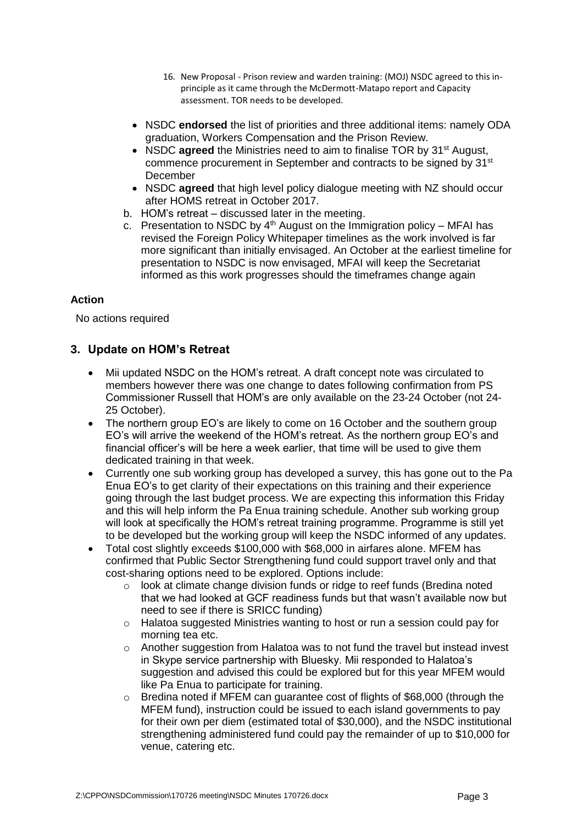- 16. New Proposal Prison review and warden training: (MOJ) NSDC agreed to this inprinciple as it came through the McDermott-Matapo report and Capacity assessment. TOR needs to be developed.
- NSDC **endorsed** the list of priorities and three additional items: namely ODA graduation, Workers Compensation and the Prison Review.
- NSDC **agreed** the Ministries need to aim to finalise TOR by 31<sup>st</sup> August, commence procurement in September and contracts to be signed by 31<sup>st</sup> **December**
- NSDC **agreed** that high level policy dialogue meeting with NZ should occur after HOMS retreat in October 2017.
- b. HOM's retreat discussed later in the meeting.
- c. Presentation to NSDC by  $4<sup>th</sup>$  August on the Immigration policy MFAI has revised the Foreign Policy Whitepaper timelines as the work involved is far more significant than initially envisaged. An October at the earliest timeline for presentation to NSDC is now envisaged, MFAI will keep the Secretariat informed as this work progresses should the timeframes change again

#### **Action**

No actions required

## **3. Update on HOM's Retreat**

- Mii updated NSDC on the HOM's retreat. A draft concept note was circulated to members however there was one change to dates following confirmation from PS Commissioner Russell that HOM's are only available on the 23-24 October (not 24- 25 October).
- The northern group EO's are likely to come on 16 October and the southern group EO's will arrive the weekend of the HOM's retreat. As the northern group EO's and financial officer's will be here a week earlier, that time will be used to give them dedicated training in that week.
- Currently one sub working group has developed a survey, this has gone out to the Pa Enua EO's to get clarity of their expectations on this training and their experience going through the last budget process. We are expecting this information this Friday and this will help inform the Pa Enua training schedule. Another sub working group will look at specifically the HOM's retreat training programme. Programme is still yet to be developed but the working group will keep the NSDC informed of any updates.
- Total cost slightly exceeds \$100,000 with \$68,000 in airfares alone. MFEM has confirmed that Public Sector Strengthening fund could support travel only and that cost-sharing options need to be explored. Options include:
	- o look at climate change division funds or ridge to reef funds (Bredina noted that we had looked at GCF readiness funds but that wasn't available now but need to see if there is SRICC funding)
	- o Halatoa suggested Ministries wanting to host or run a session could pay for morning tea etc.
	- o Another suggestion from Halatoa was to not fund the travel but instead invest in Skype service partnership with Bluesky. Mii responded to Halatoa's suggestion and advised this could be explored but for this year MFEM would like Pa Enua to participate for training.
	- $\circ$  Bredina noted if MFEM can quarantee cost of flights of \$68,000 (through the MFEM fund), instruction could be issued to each island governments to pay for their own per diem (estimated total of \$30,000), and the NSDC institutional strengthening administered fund could pay the remainder of up to \$10,000 for venue, catering etc.